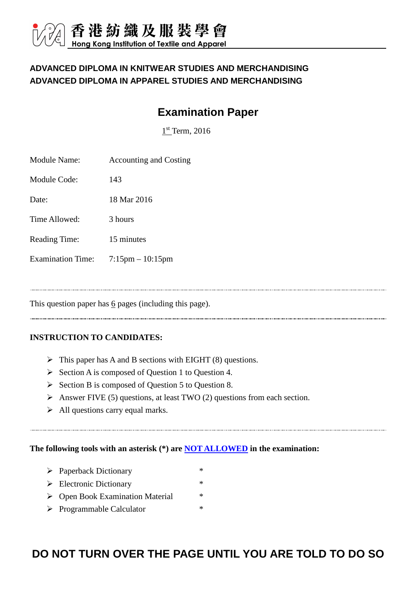### **ADVANCED DIPLOMA IN KNITWEAR STUDIES AND MERCHANDISING ADVANCED DIPLOMA IN APPAREL STUDIES AND MERCHANDISING**

# **Examination Paper**

 $1<sup>st</sup>$  Term, 2016

| Module Name:             | <b>Accounting and Costing</b> |
|--------------------------|-------------------------------|
| Module Code:             | 143                           |
| Date:                    | 18 Mar 2016                   |
| Time Allowed:            | 3 hours                       |
| <b>Reading Time:</b>     | 15 minutes                    |
| <b>Examination Time:</b> | $7:15$ pm $-10:15$ pm         |
|                          |                               |

This question paper has 6 pages (including this page).

### **INSTRUCTION TO CANDIDATES:**

- $\triangleright$  This paper has A and B sections with EIGHT (8) questions.
- $\triangleright$  Section A is composed of Question 1 to Question 4.
- $\triangleright$  Section B is composed of Question 5 to Question 8.
- Answer FIVE (5) questions, at least TWO (2) questions from each section.
- $\triangleright$  All questions carry equal marks.

### **The following tools with an asterisk (\*) are NOT ALLOWED in the examination:**

- Paperback Dictionary \*
- $\triangleright$  Electronic Dictionary \*
- ▶ Open Book Examination Material \*
- > Programmable Calculator \*

### **DO NOT TURN OVER THE PAGE UNTIL YOU ARE TOLD TO DO SO**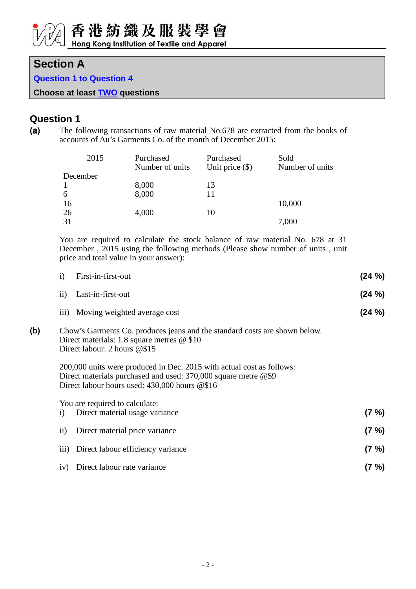### **Section A**

**Question 1 to Question 4** 

**Choose at least TWO questions**

### **Question 1**

(a) The following transactions of raw material No.678 are extracted from the books of accounts of Au's Garments Co. of the month of December 2015:

| 2015     | Purchased<br>Number of units | Purchased<br>Unit price $(\$)$ | Sold<br>Number of units |
|----------|------------------------------|--------------------------------|-------------------------|
| December |                              |                                |                         |
|          | 8,000                        | 13                             |                         |
| 6        | 8,000                        |                                |                         |
| 16       |                              |                                | 10,000                  |
| 26       | 4,000                        | 10                             |                         |
| 31       |                              |                                | 7,000                   |

You are required to calculate the stock balance of raw material No. 678 at 31 December , 2015 using the following methods (Please show number of units , unit price and total value in your answer):

|     | $\mathbf{i}$<br>First-in-first-out                                                                                                                                                           | $(24 \%)$ |
|-----|----------------------------------------------------------------------------------------------------------------------------------------------------------------------------------------------|-----------|
|     | $\mathbf{ii}$<br>Last-in-first-out                                                                                                                                                           | $(24 \%)$ |
|     | iii) Moving weighted average cost                                                                                                                                                            | (24 %)    |
| (b) | Chow's Garments Co. produces jeans and the standard costs are shown below.<br>Direct materials: 1.8 square metres $@$ \$10<br>Direct labour: 2 hours $@$15$                                  |           |
|     | 200,000 units were produced in Dec. 2015 with actual cost as follows:<br>Direct materials purchased and used: $370,000$ square metre @\$9<br>Direct labour hours used: $430,000$ hours $@16$ |           |
|     | You are required to calculate:<br>Direct material usage variance<br>$\mathbf{i}$                                                                                                             | $(7 \%)$  |
|     | $\rm ii)$<br>Direct material price variance                                                                                                                                                  | $(7 \%)$  |
|     | Direct labour efficiency variance<br>$\overline{111}$ )                                                                                                                                      | $(7 \%)$  |
|     | Direct labour rate variance<br>iv)                                                                                                                                                           | $(7 \%)$  |
|     |                                                                                                                                                                                              |           |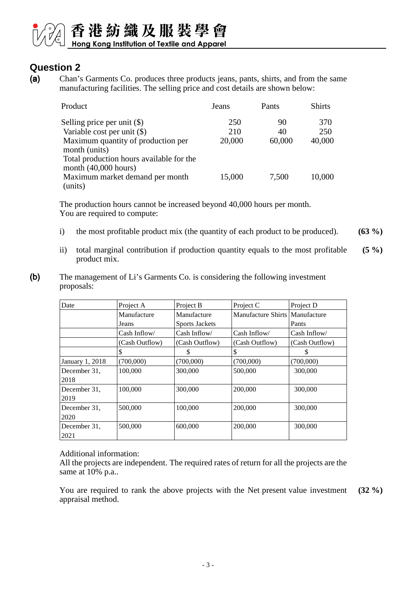## 香港紡織及服裝學會 Hong Kong Institution of Textile and Apparel

### **Question 2**

(a) Chan's Garments Co. produces three products jeans, pants, shirts, and from the same manufacturing facilities. The selling price and cost details are shown below:

| Product                                  | Jeans  | Pants  | <b>Shirts</b> |
|------------------------------------------|--------|--------|---------------|
| Selling price per unit $(\$)$            | 250    | 90     | 370           |
| Variable cost per unit $(\$)$            | 210    | 40     | 250           |
| Maximum quantity of production per       | 20,000 | 60,000 | 40,000        |
| month (units)                            |        |        |               |
| Total production hours available for the |        |        |               |
| month $(40,000$ hours)                   |        |        |               |
| Maximum market demand per month          | 15,000 | 7,500  | 10,000        |
| (units)                                  |        |        |               |

The production hours cannot be increased beyond 40,000 hours per month. You are required to compute:

- i) the most profitable product mix (the quantity of each product to be produced). **(63 %)**
- ii) total marginal contribution if production quantity equals to the most profitable product mix. **(5 %)**
- (b) The management of Li's Garments Co. is considering the following investment proposals:

| Date                 | Project A      | Project B             | Project C                      | Project D      |
|----------------------|----------------|-----------------------|--------------------------------|----------------|
|                      | Manufacture    | Manufacture           | Manufacture Shirts Manufacture |                |
|                      | Jeans          | <b>Sports Jackets</b> |                                | Pants          |
|                      | Cash Inflow/   | Cash Inflow/          | Cash Inflow/                   | Cash Inflow/   |
|                      | (Cash Outflow) | (Cash Outflow)        | (Cash Outflow)                 | (Cash Outflow) |
|                      | S              | S                     | S                              | S              |
| January 1, 2018      | (700,000)      | (700,000)             | (700,000)                      | (700,000)      |
| December 31,<br>2018 | 100,000        | 300,000               | 500,000                        | 300,000        |
| December 31,<br>2019 | 100,000        | 300,000               | 200,000                        | 300,000        |
| December 31,<br>2020 | 500,000        | 100,000               | 200,000                        | 300,000        |
| December 31,<br>2021 | 500,000        | 600,000               | 200,000                        | 300,000        |

### Additional information:

All the projects are independent. The required rates of return for all the projects are the same at 10% p.a..

You are required to rank the above projects with the Net present value investment appraisal method. **(32 %)**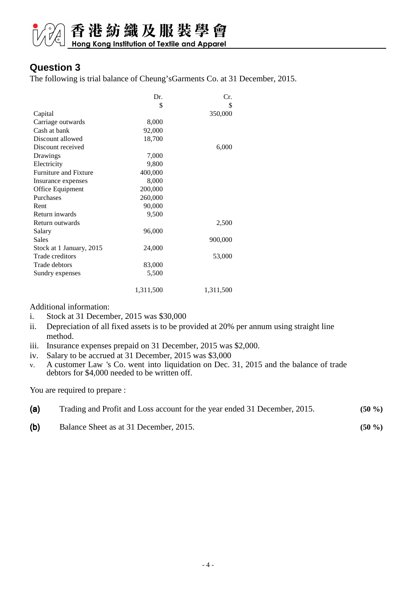# 香港紡織及服裝學會

### **Question 3**

The following is trial balance of Cheung'sGarments Co. at 31 December, 2015.

|                              | Dr.       | Cr.       |
|------------------------------|-----------|-----------|
|                              | \$        | \$        |
| Capital                      |           | 350,000   |
| Carriage outwards            | 8,000     |           |
| Cash at bank                 | 92,000    |           |
| Discount allowed             | 18,700    |           |
| Discount received            |           | 6,000     |
| Drawings                     | 7,000     |           |
| Electricity                  | 9,800     |           |
| <b>Furniture and Fixture</b> | 400,000   |           |
| Insurance expenses           | 8,000     |           |
| Office Equipment             | 200,000   |           |
| Purchases                    | 260,000   |           |
| Rent                         | 90,000    |           |
| Return inwards               | 9,500     |           |
| Return outwards              |           | 2,500     |
| Salary                       | 96,000    |           |
| <b>Sales</b>                 |           | 900,000   |
| Stock at 1 January, 2015     | 24,000    |           |
| Trade creditors              |           | 53,000    |
| Trade debtors                | 83,000    |           |
| Sundry expenses              | 5,500     |           |
|                              |           |           |
|                              | 1,311,500 | 1,311,500 |

Additional information:

- i. Stock at 31 December, 2015 was \$30,000
- ii. Depreciation of all fixed assets is to be provided at 20% per annum using straight line method.
- iii. Insurance expenses prepaid on 31 December, 2015 was \$2,000.
- iv. Salary to be accrued at 31 December, 2015 was \$3,000
- v. A customer Law 's Co. went into liquidation on Dec. 31, 2015 and the balance of trade debtors for \$4,000 needed to be written off.

You are required to prepare :

| (a) | Trading and Profit and Loss account for the year ended 31 December, 2015. | $(50\%$ |
|-----|---------------------------------------------------------------------------|---------|
| (b) | Balance Sheet as at 31 December, 2015.                                    | $(50\%$ |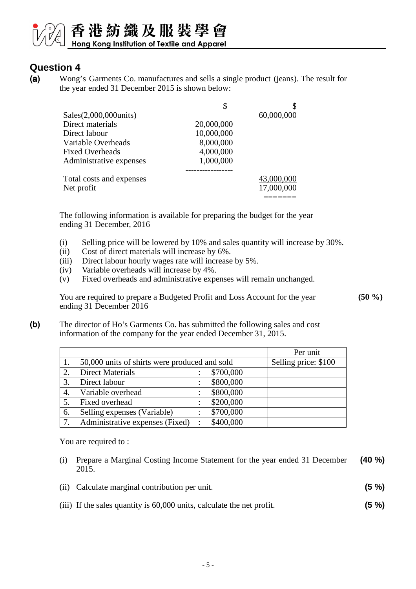### 香港紡織及服裝學會 Hong Kong Institution of Textile and Apparel

### **Question 4**

(a) Wong's Garments Co. manufactures and sells a single product (jeans). The result for the year ended 31 December 2015 is shown below:

|                          | \$         | J          |
|--------------------------|------------|------------|
| Sales(2,000,000units)    |            | 60,000,000 |
| Direct materials         | 20,000,000 |            |
| Direct labour            | 10,000,000 |            |
| Variable Overheads       | 8,000,000  |            |
| <b>Fixed Overheads</b>   | 4,000,000  |            |
| Administrative expenses  | 1,000,000  |            |
|                          |            |            |
| Total costs and expenses |            | 43,000,000 |
| Net profit               |            | 17,000,000 |
|                          |            |            |

The following information is available for preparing the budget for the year ending 31 December, 2016

(i) Selling price will be lowered by 10% and sales quantity will increase by 30%.

**(50 %)**

- (ii) Cost of direct materials will increase by 6%.
- (iii) Direct labour hourly wages rate will increase by 5%.
- (iv) Variable overheads will increase by 4%.
- (v) Fixed overheads and administrative expenses will remain unchanged.

You are required to prepare a Budgeted Profit and Loss Account for the year ending 31 December 2016

(b) The director of Ho's Garments Co. has submitted the following sales and cost information of the company for the year ended December 31, 2015.

|    |                                               |                |           | Per unit             |
|----|-----------------------------------------------|----------------|-----------|----------------------|
|    | 50,000 units of shirts were produced and sold |                |           | Selling price: \$100 |
|    | <b>Direct Materials</b>                       |                | \$700,000 |                      |
|    | Direct labour                                 |                | \$800,000 |                      |
|    | Variable overhead                             |                | \$800,000 |                      |
|    | Fixed overhead                                |                | \$200,000 |                      |
| 6. | Selling expenses (Variable)                   |                | \$700,000 |                      |
|    | Administrative expenses (Fixed)               | $\mathbb{R}^2$ | \$400,000 |                      |

You are required to:

- (i) Prepare a Marginal Costing Income Statement for the year ended 31 December 2015. **(40 %)**
- (ii) Calculate marginal contribution per unit. **(5 %)**
- (iii) If the sales quantity is 60,000 units, calculate the net profit. **(5 %)**